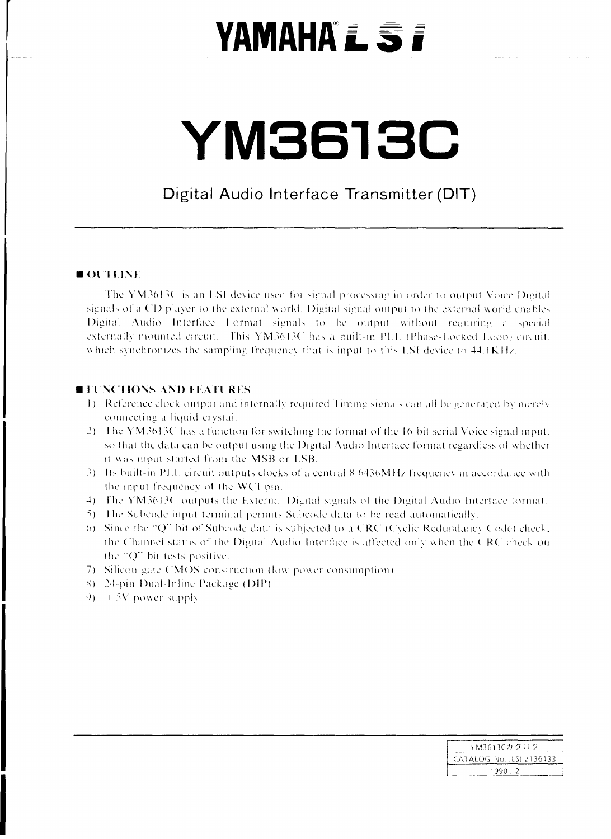## **YAMAHA'L ST**

# YM3613C

#### Digital Audio Interface Transmitter (DIT)

#### OUTLINE

The YM3613C is an LSI device used for signal processing in order to output Voice Digital signals of a CD player to the external world. Digital signal output to the external world enables Digital Audio Interface Format signals to be output without requiring a special externally-mounted circuit. This YM3613C has a built-in PLL (Phase-Locked Loop) circuit. which synchronizes the sampling frequency that is input to this LSI device to 44.1KHz.

#### **EFUNCTIONS AND FEATURES**

- 1) Reference clock output and internally required Timing signals can all be generated by merely connecting a liquid crystal.
- 2) The YM3613C has a function for switching the format of the 16-bit serial Voice signal input, so that the data can be output using the Digital Audio Interface format regardless of whether it was input started from the MSB or LSB.
- 3) Its built-in PLL circuit outputs clocks of a central 8.6436MHz frequency in accordance with the input frequency of the WCI pin.
- 4) The YM3613C outputs the External Digital signals of the Digital Audio Interface format.
- 5) The Subcode input terminal permits Subcode data to be read automatically.
- 6) Since the "Q" bit of Subcode data is subjected to a CRC (Cyclic Redundancy Code) check, the Channel status of the Digital Audio Interface is affected only when the CRC check on the "Q" bit tests positive.
- 7) Silicon gate CMOS construction (low power consumption)
- 8) 24-pin Dual-Inline Package (DIP)
- $9 + 5V$  power supply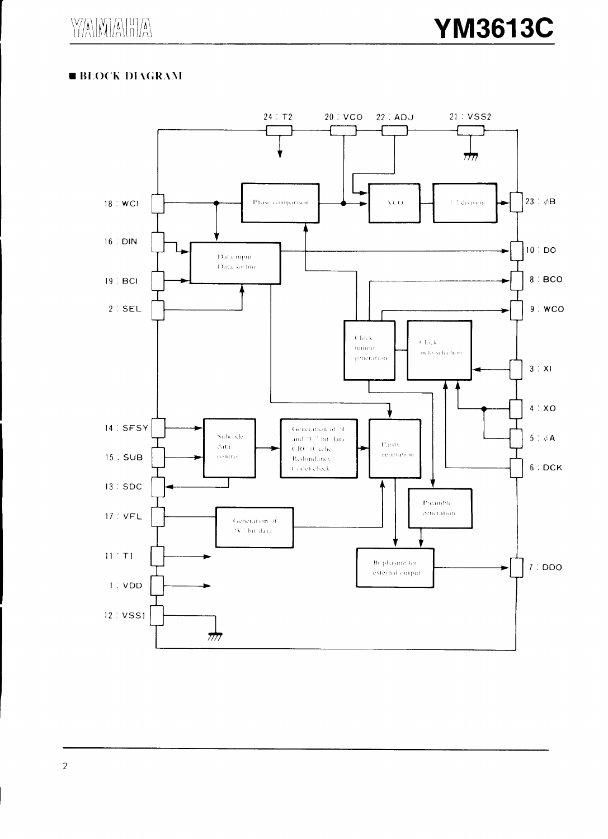$\sum_{i=1}^{n} \sum_{j=1}^{n} \sum_{j=1}^{n} \sum_{j=1}^{n} \sum_{j=1}^{n} \sum_{j=1}^{n} \sum_{j=1}^{n} \sum_{j=1}^{n} \sum_{j=1}^{n} \sum_{j=1}^{n} \sum_{j=1}^{n} \sum_{j=1}^{n} \sum_{j=1}^{n} \sum_{j=1}^{n} \sum_{j=1}^{n} \sum_{j=1}^{n} \sum_{j=1}^{n} \sum_{j=1}^{n} \sum_{j=1}^{n} \sum_{j=1}^{n} \sum_{j=1}^{n} \sum_{j=1}^{n}$ 

#### **EBLOCK DIAGRAM**

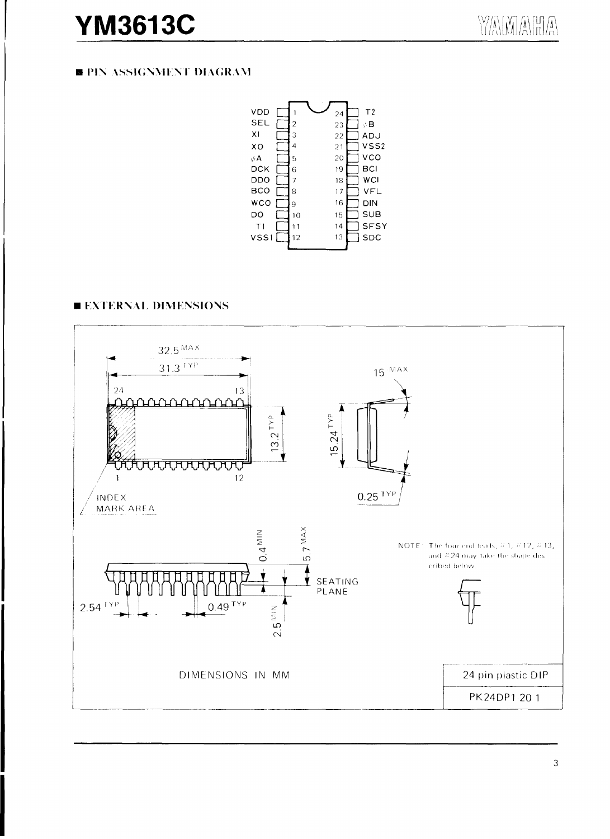### **YM3613C**

#### **B PIN ASSIGNMENT DIAGRAM**



#### **EXTERNAL DIMENSIONS**

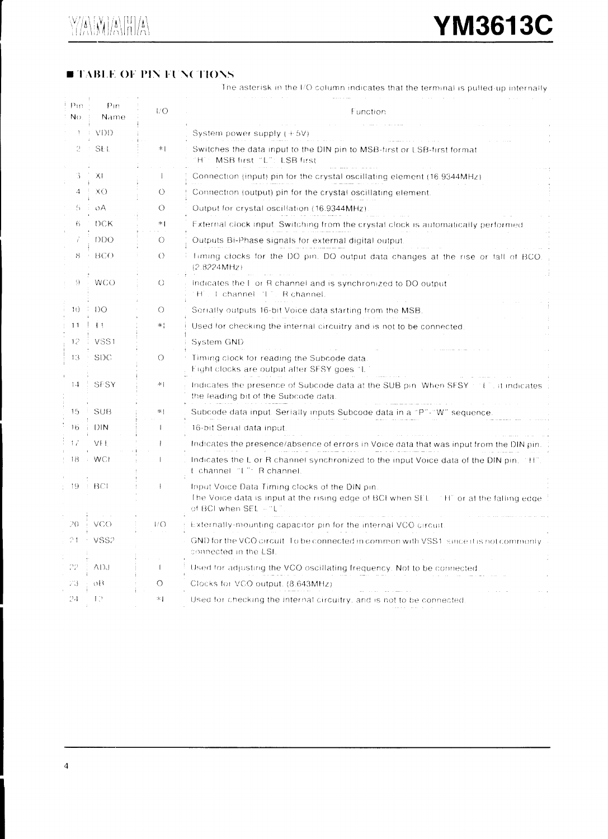#### **TABLE OF PIN FUNCTIONS**

The asterisk in the I/O column indicates that the terminal is pulled-up internally

| Pin<br>No. | Pin<br><b>Name</b>           | 17O        | Function                                                                                                                                                         |
|------------|------------------------------|------------|------------------------------------------------------------------------------------------------------------------------------------------------------------------|
|            | VDD                          |            | System power supply $(+5V)$                                                                                                                                      |
| 2          | SE L                         | 率          | Switches the data input to the DIN pin to MSB-first or LSB-first format<br>MSB first "L": LSB first<br>Ήï                                                        |
| 3.         | ХI                           |            | Connection (input) pin for the crystal oscillating element (16.9344MHz)                                                                                          |
| 4          | XO.                          | $\circ$    | Connection (output) pin for the crystal oscillating element.                                                                                                     |
| 5          | $\Omega$ A                   | $\bigcirc$ | Output for crystal oscillation (16.9344MHz).                                                                                                                     |
| 6.         | <b>DCK</b>                   | $*1$       | External clock input. Switching from the crystal clock is automatically performed                                                                                |
|            | <b>DDO</b>                   | $\bigcirc$ | Outputs Bi-Phase signals for external digital output.                                                                                                            |
| 8          | BCO.                         | $\circ$    | fiming clocks for the DO pin. DO output data changes at the rise or fall of BCO.<br>(2.8224MHz)                                                                  |
| 9.         | <b>WCO</b>                   | $\circ$    | Indicates the E or R channel and is synchronized to DO output<br>H. I channel 'I". R channel.                                                                    |
| 1()        | DO.                          | $\circ$    | Serially outputs 16-bit Voice data starting from the MSB.                                                                                                        |
| 11         | $\left\lceil \ \right\rceil$ | *¦         | Used for checking the internal circuitry and is not to be connected.                                                                                             |
| 12         | VSS1                         |            | System GND                                                                                                                                                       |
| 13         | <b>SDC</b>                   | $\circ$    | Timing clock for reading the Subcode data.<br>Eight clocks are output after SFSY goes "L-                                                                        |
| 1.4        | SESY                         | 率上         | Indicates the presence of Subcode data at the SUB pin. When SFSY in the indicates<br>the leading bit of the Subcode data.                                        |
| 15         | <b>SUB</b>                   | *          | Subcode data input. Serially inputs Subcode data in a "P"-"W" sequence                                                                                           |
| 16         | DIN                          |            | 16-bit Serial data input.                                                                                                                                        |
| 17         | VFE                          | 1          | Indicates the presence/absence of errors in Voice data that was input from the DIN pin.                                                                          |
| 18         | $\rightarrow$ WCI            |            | Indicates the L or R channel synchronized to the input Voice data of the DIN pin. "H"<br>L channel "L": R channel.                                               |
| 19.        | $\pm$ BCI                    |            | Input Voice Data Timing clocks of the DIN pin.<br>The Voice data is input at the rising edge of BCI when SEL THT or at the falling edge<br>of BCI when SEL + "L" |
| 20         | VCO.                         | VO.        | Externally-mounting capacitor pin for the internal VCO circuit.                                                                                                  |
| 21         | VSS2                         |            | GND for the VCO circuit. To be connected in common with VSS1, since it is not commonly<br>connected in the LSI.                                                  |
| 22         | adj                          |            | Used for adjusting the VCO oscillating frequency. Not to be connected.                                                                                           |
| 23         | οB                           | $\circ$    | Clocks for VCO output. (8.643MHz)                                                                                                                                |
| 24         | ŦЭ                           | *1         | Used for checking the internal circuitry, and is not to be connected                                                                                             |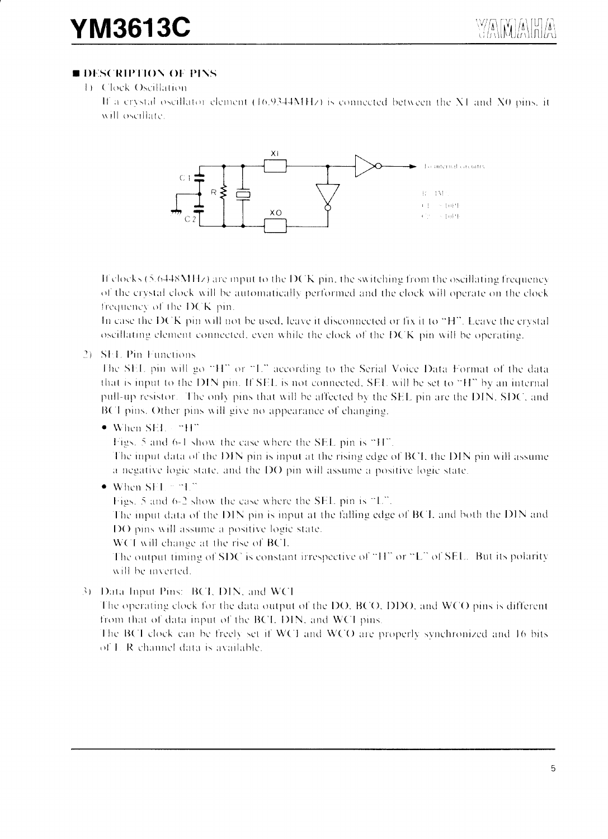#### **BESCRIPTION OF PINS**

1) Clock Oscillation If a crystal oscillator element (16.9344MHz) is connected between the X1 and X0 pins, it will oscillate.



If clocks (5.6448MHz) are input to the DCK pin, the switching from the oscillating frequency of the crystal clock will be automatically performed and the clock will operate on the clock frequency of the DCK pin.

In case the DCK pin will not be used, leave it disconnected or fix it to "H". Leave the crystal oscillating element connected, even while the clock of the DCK pin will be operating.

#### 2) SEL Pin Functions

The SEL pin will go "H" or "L" according to the Serial Voice Data Format of the data that is input to the DIN pin. If SEL is not connected, SEL will be set to "H" by an internal pull-up resistor. The only pins that will be affected by the SEL pin are the DIN, SDC, and BCI pins. Other pins will give no appearance of changing.

● When SEL - "H"

Figs. 5 and 6-1 show the case where the SEL pin is "H".

The input data of the DIN pin is input at the rising edge of BCI, the DIN pin will assume a negative logic state, and the DO pin will assume a positive logic state.

 $\bullet$  When SEL = "L"

Figs. 5 and 6-2 show the case where the SEL pin is "L".

The input data of the DIN pin is input at the falling edge of BCI, and both the DIN and DO pins will assume a positive logic state.

WCI will change at the rise of BCI.

The output timing of SDC is constant irrespective of "H" or "L" of SEL. But its polarity will be inverted.

3) Data Input Pins: BCI, DIN, and WCI

The operating clock for the data output of the DO, BCO, DDO, and WCO pins is different from that of data input of the BCI, DIN, and WCI pins.

The BCI clock can be freely set if WCI and WCO are properly synchronized and 16 bits of L R channel data is available.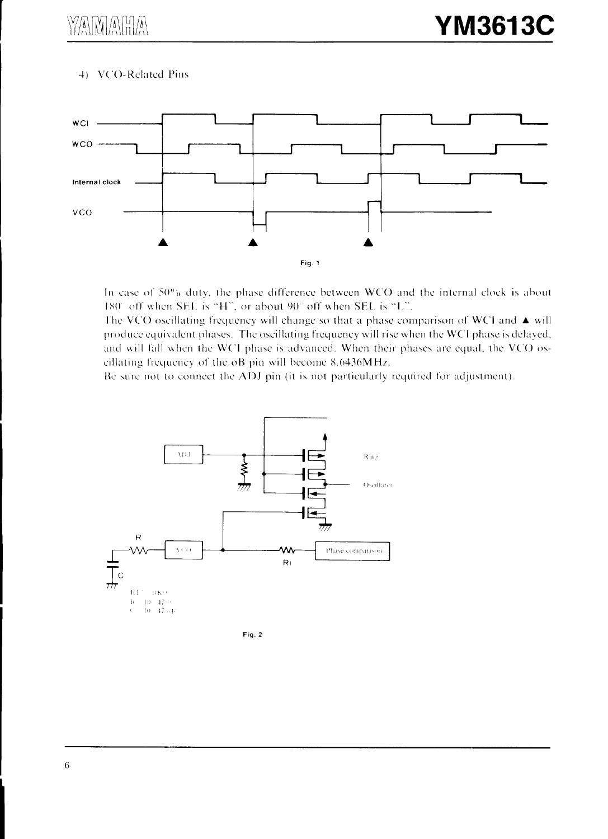4) VCO-Related Pins



In case of 50% duty, the phase difference between WCO and the internal clock is about 180° off when SEL is "H", or about 90° off when SEL is "L".

The VCO oscillating frequency will change so that a phase comparison of WCI and  $\blacktriangle$  will produce equivalent phases. The oscillating frequency will rise when the WCI phase is delayed, and will fall when the WCI phase is advanced. When their phases are equal, the VCO oscillating frequency of the oB pin will become 8.6436MHz.

Be sure not to connect the ADJ pin (it is not particularly required for adjustment).

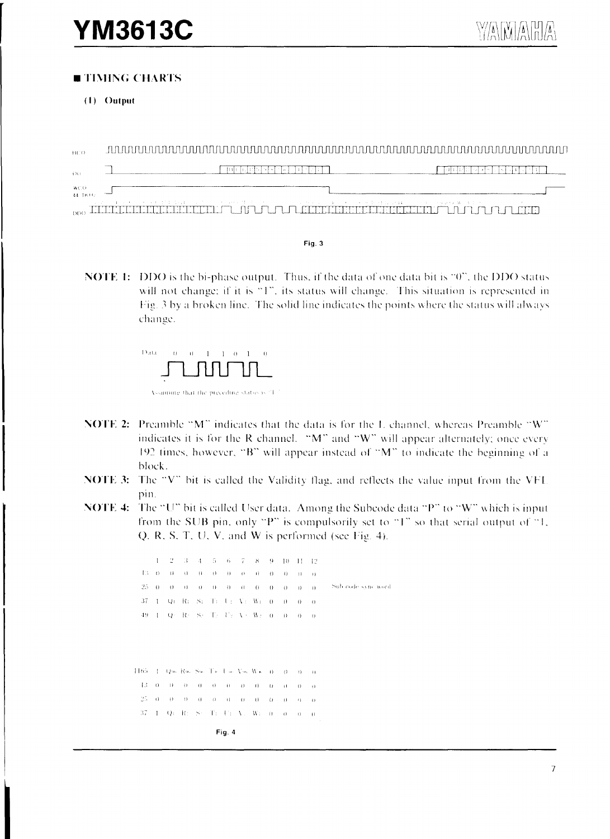#### **■ TIMING CHARTS**

 $(1)$  Output

 $\overline{m}$ िकान जीविन बन किना बनाये गा  $\Box$ िकायनगरानिमानगरा  $\Omega$  $wcO$ ᆜ 44.1KH 000 IIIIIIKKEENKEENKEEN. TUTUTUTUTUEKEEN TIEREN TUTUTUTUTUE

Fig. 3

**NOTE 1:** DDO is the bi-phase output. Thus, if the data of one data bit is "0", the DDO status will not change; if it is "1", its status will change. This situation is represented in Fig. 3 by a broken line. The solid line indicates the points where the status will always change.



- **NOTE 2:** Preamble "M" indicates that the data is for the L channel, whereas Preamble "W" indicates it is for the R channel. "M" and "W" will appear alternately; once every 192 times, however, "B" will appear instead of "M" to indicate the beginning of a block.
- NOTE 3: The "V" bit is called the Validity flag, and reflects the value input from the VFI. pin.
- **NOTE 4:** The "U" bit is called User data. Among the Subcode data "P" to "W" which is input from the SUB pin, only "P" is compulsorily set to "1" so that serial output of "1, Q. R, S, T, U, V, and W is performed (see Fig. 4).

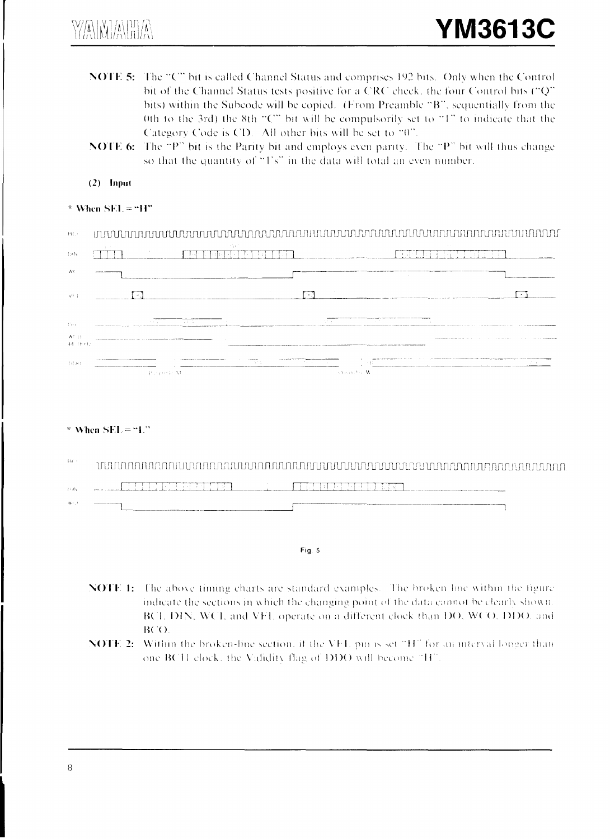$\mathbb{W}\left[\left(\bigwedge_{i=1}^{n}\left[\bigwedge_{j=1}^{n}\left[\bigwedge_{i=1}^{n}\left[\bigwedge_{j=1}^{n}\left[\bigwedge_{j=1}^{n}\left[\bigwedge_{j=1}^{n}\left[\bigwedge_{j=1}^{n}\left[\bigwedge_{j=1}^{n}\left[\bigwedge_{j=1}^{n}\left[\bigwedge_{j=1}^{n}\left[\bigwedge_{j=1}^{n}\left[\bigwedge_{j=1}^{n}\left[\bigwedge_{j=1}^{n}\left[\bigwedge_{j=1}^{n}\left[\bigwedge_{j=1}^{n}\left[\bigwedge_{j=1}^{n}\left[\bigw$ 

- NOTE 5: The "C" bit is called Channel Status and comprises 192 bits. Only when the Control bit of the Channel Status tests positive for a CRC check, the four Control bits ("Q" bits) within the Subcode will be copied. (From Preamble "B", sequentially from the 0th to the 3rd) the 8th "C" bit will be compulsorily set to "1" to indicate that the Category Code is CD. All other bits will be set to "0".
- NOTE 6: The "P" bit is the Parity bit and employs even parity. The "P" bit will thus change so that the quantity of "1's" in the data will total an even number.
- $(2)$  Input

#### \* When  $SEL = "H"$

| B C                                                  |                                                                                                                            |       |                                                  |                                                                                                                                                                                                                                |  |
|------------------------------------------------------|----------------------------------------------------------------------------------------------------------------------------|-------|--------------------------------------------------|--------------------------------------------------------------------------------------------------------------------------------------------------------------------------------------------------------------------------------|--|
| 131N                                                 | ALC: YES                                                                                                                   | 134   |                                                  | <b>Service</b>                                                                                                                                                                                                                 |  |
|                                                      |                                                                                                                            |       |                                                  |                                                                                                                                                                                                                                |  |
| -vF t                                                |                                                                                                                            |       |                                                  |                                                                                                                                                                                                                                |  |
| $17 + 1$                                             | All Art<br>the contract of the contract of the contract of the contract of the contract of the contract of the contract of | 100 N |                                                  |                                                                                                                                                                                                                                |  |
| $\mathcal{M} \subseteq \mathcal{N}$<br>$44.1$ $+1.1$ |                                                                                                                            |       |                                                  |                                                                                                                                                                                                                                |  |
| 131343                                               | <b>Property M</b>                                                                                                          | AT S  | where the company of the company<br>Alteration W | The company of the company of the company of the contract of the company of the company of the company of the company of the company of the company of the company of the company of the company of the company of the company |  |

#### \* When  $SEL = "L"$

| ∔-ti - |        |  |                 |  |  |
|--------|--------|--|-----------------|--|--|
| 13.B   | $\sim$ |  | <b>Contract</b> |  |  |
| W.C.   |        |  |                 |  |  |
|        |        |  |                 |  |  |
|        |        |  | Fio.            |  |  |

- **NOTE 1:** The above timing charts are standard examples. The broken line within the figure indicate the sections in which the changing point of the data cannot be clearly shown. BCL DIN, WCL and VFL operate on a different clock than DO, WCO, DDO, and BCO.
- **NOTE 2:** Within the broken-line section, if the VFI, pm is set "H" for an interval longer than one BCH clock, the Validity flag of DDO will become "H".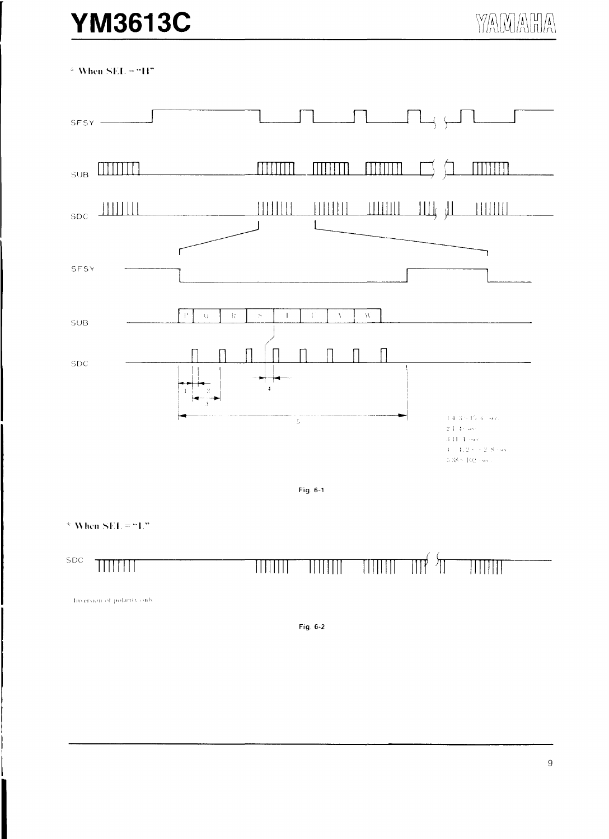## **YM3613C**

 $*$  When SEL = "H"



Fig. 6-1

\* When  $SEL = "L"$ 



#### THEFT

#### $\mathbb{H}^{\left( \right) }$ TITTITTI TITTITTI  $\overline{\mathbb{H}}\overline{\mathbb{H}}\overline{\mathbb{H}}$

Hiversion of polarity only

Fig. 6-2